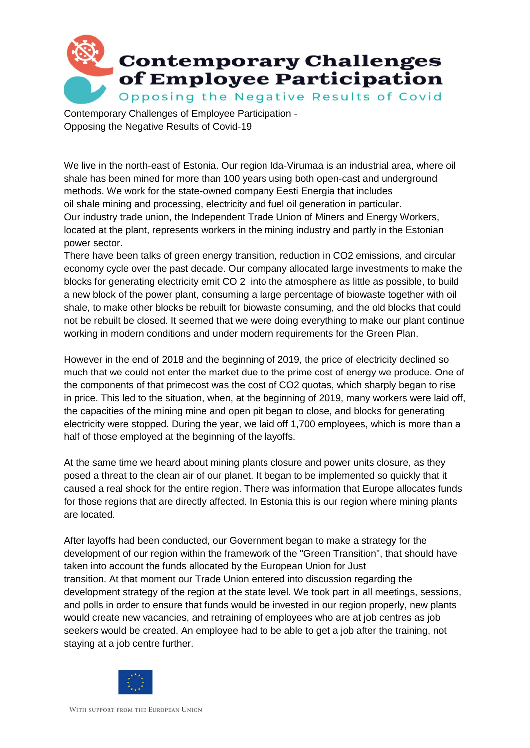

Contemporary Challenges of Employee Participation - Opposing the Negative Results of Covid-19

We live in the north-east of Estonia. Our region Ida-Virumaa is an industrial area, where oil shale has been mined for more than 100 years using both open-cast and underground methods. We work for the state-owned company Eesti Energia that includes oil shale mining and processing, electricity and fuel oil generation in particular. Our industry trade union, the Independent Trade Union of Miners and Energy Workers, located at the plant, represents workers in the mining industry and partly in the Estonian power sector.

There have been talks of green energy transition, reduction in CO2 emissions, and circular economy cycle over the past decade. Our company allocated large investments to make the blocks for generating electricity emit CO 2 into the atmosphere as little as possible, to build a new block of the power plant, consuming a large percentage of biowaste together with oil shale, to make other blocks be rebuilt for biowaste consuming, and the old blocks that could not be rebuilt be closed. It seemed that we were doing everything to make our plant continue working in modern conditions and under modern requirements for the Green Plan.

However in the end of 2018 and the beginning of 2019, the price of electricity declined so much that we could not enter the market due to the prime cost of energy we produce. One of the components of that primecost was the cost of CO2 quotas, which sharply began to rise in price. This led to the situation, when, at the beginning of 2019, many workers were laid off, the capacities of the mining mine and open pit began to close, and blocks for generating electricity were stopped. During the year, we laid off 1,700 employees, which is more than a half of those employed at the beginning of the layoffs.

At the same time we heard about mining plants closure and power units closure, as they posed a threat to the clean air of our planet. It began to be implemented so quickly that it caused a real shock for the entire region. There was information that Europe allocates funds for those regions that are directly affected. In Estonia this is our region where mining plants are located.

After layoffs had been conducted, our Government began to make a strategy for the development of our region within the framework of the "Green Transition", that should have taken into account the funds allocated by the European Union for Just transition. At that moment our Trade Union entered into discussion regarding the development strategy of the region at the state level. We took part in all meetings, sessions, and polls in order to ensure that funds would be invested in our region properly, new plants would create new vacancies, and retraining of employees who are at job centres as job seekers would be created. An employee had to be able to get a job after the training, not staying at a job centre further.

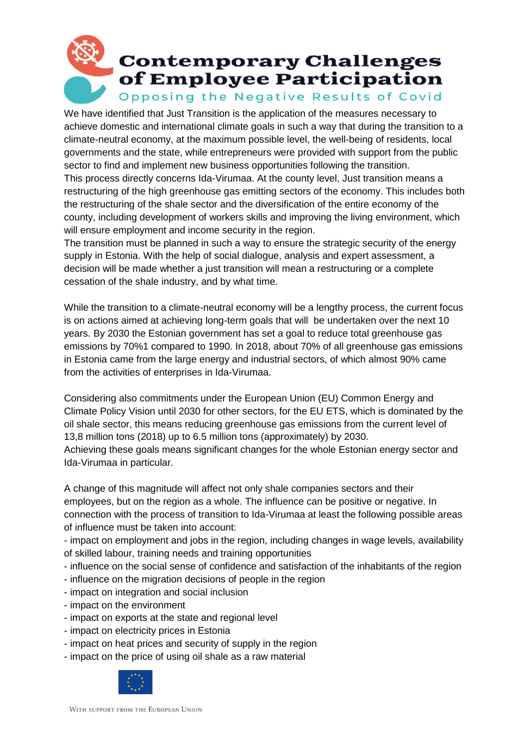## **Contemporary Challenges** of Employee Participation Opposing the Negative Results of Covid

We have identified that Just Transition is the application of the measures necessary to achieve domestic and international climate goals in such a way that during the transition to a climate-neutral economy, at the maximum possible level, the well-being of residents, local governments and the state, while entrepreneurs were provided with support from the public sector to find and implement new business opportunities following the transition.

This process directly concerns Ida-Virumaa. At the county level, Just transition means a restructuring of the high greenhouse gas emitting sectors of the economy. This includes both the restructuring of the shale sector and the diversification of the entire economy of the county, including development of workers skills and improving the living environment, which will ensure employment and income security in the region.

The transition must be planned in such a way to ensure the strategic security of the energy supply in Estonia. With the help of social dialogue, analysis and expert assessment, a decision will be made whether a just transition will mean a restructuring or a complete cessation of the shale industry, and by what time.

While the transition to a climate-neutral economy will be a lengthy process, the current focus is on actions aimed at achieving long-term goals that will be undertaken over the next 10 years. By 2030 the Estonian government has set a goal to reduce total greenhouse gas emissions by 70%1 compared to 1990. In 2018, about 70% of all greenhouse gas emissions in Estonia came from the large energy and industrial sectors, of which almost 90% came from the activities of enterprises in Ida-Virumaa.

Considering also commitments under the European Union (EU) Common Energy and Climate Policy Vision until 2030 for other sectors, for the EU ETS, which is dominated by the oil shale sector, this means reducing greenhouse gas emissions from the current level of 13,8 million tons (2018) up to 6.5 million tons (approximately) by 2030.

Achieving these goals means significant changes for the whole Estonian energy sector and Ida-Virumaa in particular.

A change of this magnitude will affect not only shale companies sectors and their employees, but on the region as a whole. The influence can be positive or negative. In connection with the process of transition to Ida-Virumaa at least the following possible areas of influence must be taken into account:

- impact on employment and jobs in the region, including changes in wage levels, availability of skilled labour, training needs and training opportunities

- influence on the social sense of confidence and satisfaction of the inhabitants of the region
- influence on the migration decisions of people in the region
- impact on integration and social inclusion
- impact on the environment
- impact on exports at the state and regional level
- impact on electricity prices in Estonia
- impact on heat prices and security of supply in the region
- impact on the price of using oil shale as a raw material

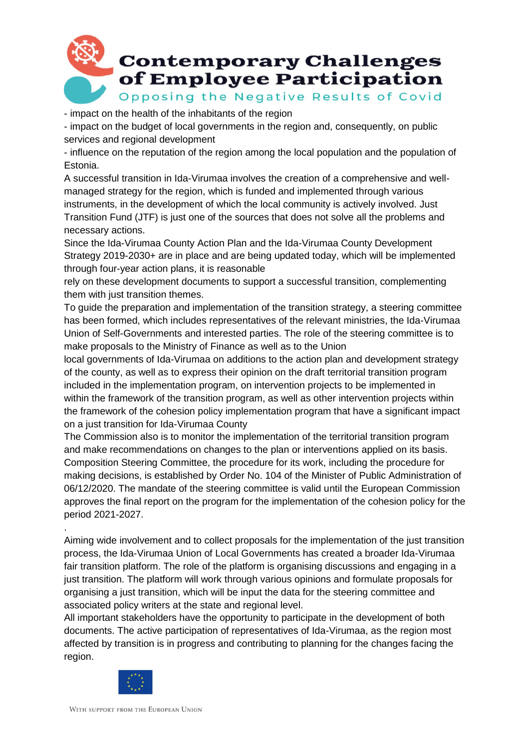

- impact on the health of the inhabitants of the region

- impact on the budget of local governments in the region and, consequently, on public services and regional development

- influence on the reputation of the region among the local population and the population of Estonia.

A successful transition in Ida-Virumaa involves the creation of a comprehensive and wellmanaged strategy for the region, which is funded and implemented through various instruments, in the development of which the local community is actively involved. Just Transition Fund (JTF) is just one of the sources that does not solve all the problems and necessary actions.

Since the Ida-Virumaa County Action Plan and the Ida-Virumaa County Development Strategy 2019-2030+ are in place and are being updated today, which will be implemented through four-year action plans, it is reasonable

rely on these development documents to support a successful transition, complementing them with just transition themes.

To guide the preparation and implementation of the transition strategy, a steering committee has been formed, which includes representatives of the relevant ministries, the Ida-Virumaa Union of Self-Governments and interested parties. The role of the steering committee is to make proposals to the Ministry of Finance as well as to the Union

local governments of Ida-Virumaa on additions to the action plan and development strategy of the county, as well as to express their opinion on the draft territorial transition program included in the implementation program, on intervention projects to be implemented in within the framework of the transition program, as well as other intervention projects within the framework of the cohesion policy implementation program that have a significant impact on a just transition for Ida-Virumaa County

The Commission also is to monitor the implementation of the territorial transition program and make recommendations on changes to the plan or interventions applied on its basis. Composition Steering Committee, the procedure for its work, including the procedure for making decisions, is established by Order No. 104 of the Minister of Public Administration of 06/12/2020. The mandate of the steering committee is valid until the European Commission approves the final report on the program for the implementation of the cohesion policy for the period 2021-2027.

Aiming wide involvement and to collect proposals for the implementation of the just transition process, the Ida-Virumaa Union of Local Governments has created a broader Ida-Virumaa fair transition platform. The role of the platform is organising discussions and engaging in a just transition. The platform will work through various opinions and formulate proposals for organising a just transition, which will be input the data for the steering committee and associated policy writers at the state and regional level.

All important stakeholders have the opportunity to participate in the development of both documents. The active participation of representatives of Ida-Virumaa, as the region most affected by transition is in progress and contributing to planning for the changes facing the region.



.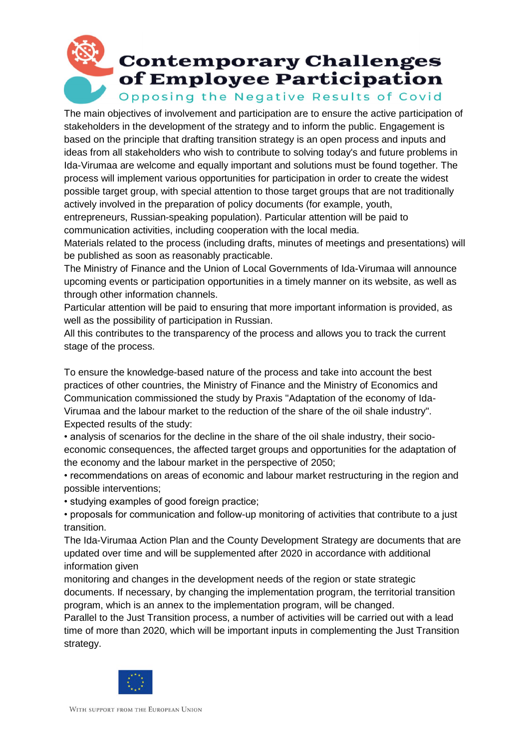## **Contemporary Challenges** of Employee Participation Opposing the Negative Results of Covid

The main objectives of involvement and participation are to ensure the active participation of stakeholders in the development of the strategy and to inform the public. Engagement is based on the principle that drafting transition strategy is an open process and inputs and ideas from all stakeholders who wish to contribute to solving today's and future problems in Ida-Virumaa are welcome and equally important and solutions must be found together. The process will implement various opportunities for participation in order to create the widest possible target group, with special attention to those target groups that are not traditionally actively involved in the preparation of policy documents (for example, youth,

entrepreneurs, Russian-speaking population). Particular attention will be paid to communication activities, including cooperation with the local media.

Materials related to the process (including drafts, minutes of meetings and presentations) will be published as soon as reasonably practicable.

The Ministry of Finance and the Union of Local Governments of Ida-Virumaa will announce upcoming events or participation opportunities in a timely manner on its website, as well as through other information channels.

Particular attention will be paid to ensuring that more important information is provided, as well as the possibility of participation in Russian.

All this contributes to the transparency of the process and allows you to track the current stage of the process.

To ensure the knowledge-based nature of the process and take into account the best practices of other countries, the Ministry of Finance and the Ministry of Economics and Communication commissioned the study by Praxis "Adaptation of the economy of Ida-Virumaa and the labour market to the reduction of the share of the oil shale industry". Expected results of the study:

• analysis of scenarios for the decline in the share of the oil shale industry, their socioeconomic consequences, the affected target groups and opportunities for the adaptation of the economy and the labour market in the perspective of 2050;

• recommendations on areas of economic and labour market restructuring in the region and possible interventions;

• studying examples of good foreign practice;

• proposals for communication and follow-up monitoring of activities that contribute to a just transition.

The Ida-Virumaa Action Plan and the County Development Strategy are documents that are updated over time and will be supplemented after 2020 in accordance with additional information given

monitoring and changes in the development needs of the region or state strategic documents. If necessary, by changing the implementation program, the territorial transition program, which is an annex to the implementation program, will be changed.

Parallel to the Just Transition process, a number of activities will be carried out with a lead time of more than 2020, which will be important inputs in complementing the Just Transition strategy.

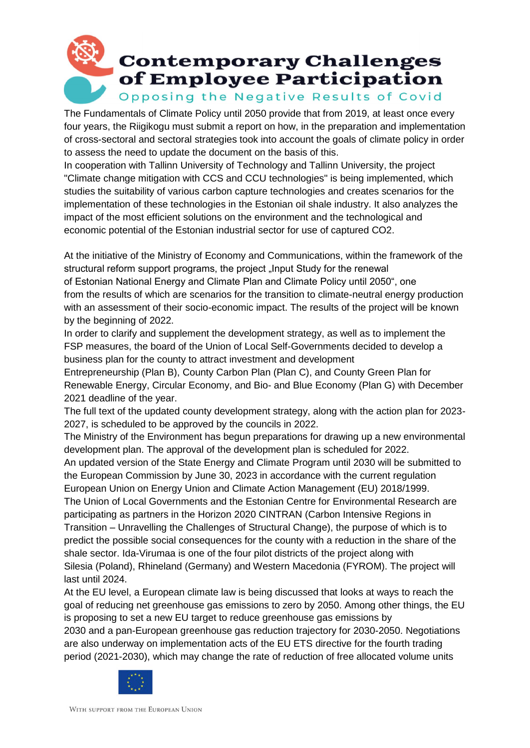## **Contemporary Challenges** of Employee Participation Opposing the Negative Results of Covid

The Fundamentals of Climate Policy until 2050 provide that from 2019, at least once every four years, the Riigikogu must submit a report on how, in the preparation and implementation of cross-sectoral and sectoral strategies took into account the goals of climate policy in order to assess the need to update the document on the basis of this.

In cooperation with Tallinn University of Technology and Tallinn University, the project "Climate change mitigation with CCS and CCU technologies" is being implemented, which studies the suitability of various carbon capture technologies and creates scenarios for the implementation of these technologies in the Estonian oil shale industry. It also analyzes the impact of the most efficient solutions on the environment and the technological and economic potential of the Estonian industrial sector for use of captured CO2.

At the initiative of the Ministry of Economy and Communications, within the framework of the structural reform support programs, the project "Input Study for the renewal of Estonian National Energy and Climate Plan and Climate Policy until 2050", one from the results of which are scenarios for the transition to climate-neutral energy production with an assessment of their socio-economic impact. The results of the project will be known by the beginning of 2022.

In order to clarify and supplement the development strategy, as well as to implement the FSP measures, the board of the Union of Local Self-Governments decided to develop a business plan for the county to attract investment and development

Entrepreneurship (Plan B), County Carbon Plan (Plan C), and County Green Plan for Renewable Energy, Circular Economy, and Bio- and Blue Economy (Plan G) with December 2021 deadline of the year.

The full text of the updated county development strategy, along with the action plan for 2023- 2027, is scheduled to be approved by the councils in 2022.

The Ministry of the Environment has begun preparations for drawing up a new environmental development plan. The approval of the development plan is scheduled for 2022.

An updated version of the State Energy and Climate Program until 2030 will be submitted to the European Commission by June 30, 2023 in accordance with the current regulation European Union on Energy Union and Climate Action Management (EU) 2018/1999.

The Union of Local Governments and the Estonian Centre for Environmental Research are participating as partners in the Horizon 2020 CINTRAN (Carbon Intensive Regions in Transition – Unravelling the Challenges of Structural Change), the purpose of which is to predict the possible social consequences for the county with a reduction in the share of the shale sector. Ida-Virumaa is one of the four pilot districts of the project along with Silesia (Poland), Rhineland (Germany) and Western Macedonia (FYROM). The project will last until 2024.

At the EU level, a European climate law is being discussed that looks at ways to reach the goal of reducing net greenhouse gas emissions to zero by 2050. Among other things, the EU is proposing to set a new EU target to reduce greenhouse gas emissions by 2030 and a pan-European greenhouse gas reduction trajectory for 2030-2050. Negotiations are also underway on implementation acts of the EU ETS directive for the fourth trading period (2021-2030), which may change the rate of reduction of free allocated volume units

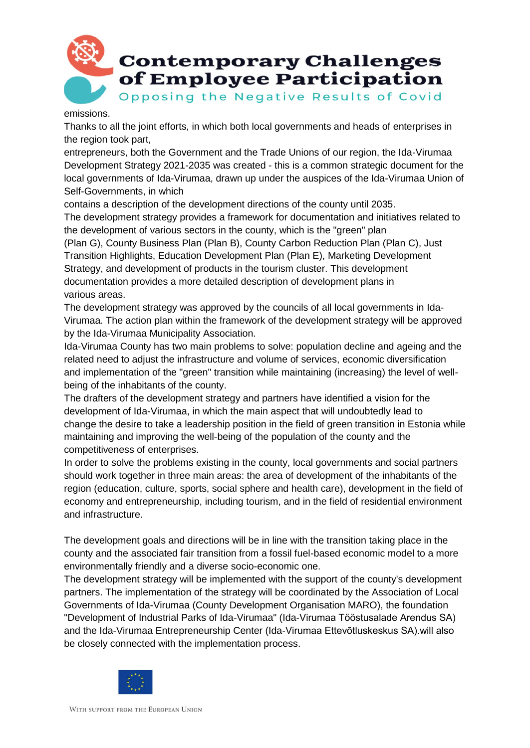

emissions.

Thanks to all the joint efforts, in which both local governments and heads of enterprises in the region took part,

entrepreneurs, both the Government and the Trade Unions of our region, the Ida-Virumaa Development Strategy 2021-2035 was created - this is a common strategic document for the local governments of Ida-Virumaa, drawn up under the auspices of the Ida-Virumaa Union of Self-Governments, in which

contains a description of the development directions of the county until 2035.

The development strategy provides a framework for documentation and initiatives related to the development of various sectors in the county, which is the "green" plan

(Plan G), County Business Plan (Plan B), County Carbon Reduction Plan (Plan C), Just Transition Highlights, Education Development Plan (Plan E), Marketing Development Strategy, and development of products in the tourism cluster. This development documentation provides a more detailed description of development plans in various areas.

The development strategy was approved by the councils of all local governments in Ida-Virumaa. The action plan within the framework of the development strategy will be approved by the Ida-Virumaa Municipality Association.

Ida-Virumaa County has two main problems to solve: population decline and ageing and the related need to adjust the infrastructure and volume of services, economic diversification and implementation of the "green" transition while maintaining (increasing) the level of wellbeing of the inhabitants of the county.

The drafters of the development strategy and partners have identified a vision for the development of Ida-Virumaa, in which the main aspect that will undoubtedly lead to change the desire to take a leadership position in the field of green transition in Estonia while maintaining and improving the well-being of the population of the county and the competitiveness of enterprises.

In order to solve the problems existing in the county, local governments and social partners should work together in three main areas: the area of development of the inhabitants of the region (education, culture, sports, social sphere and health care), development in the field of economy and entrepreneurship, including tourism, and in the field of residential environment and infrastructure.

The development goals and directions will be in line with the transition taking place in the county and the associated fair transition from a fossil fuel-based economic model to a more environmentally friendly and a diverse socio-economic one.

The development strategy will be implemented with the support of the county's development partners. The implementation of the strategy will be coordinated by the Association of Local Governments of Ida-Virumaa (County Development Organisation MARO), the foundation "Development of Industrial Parks of Ida-Virumaa" (Ida-Virumaa Tööstusalade Arendus SA) and the Ida-Virumaa Entrepreneurship Center (Ida-Virumaa Ettevõtluskeskus SA).will also be closely connected with the implementation process.

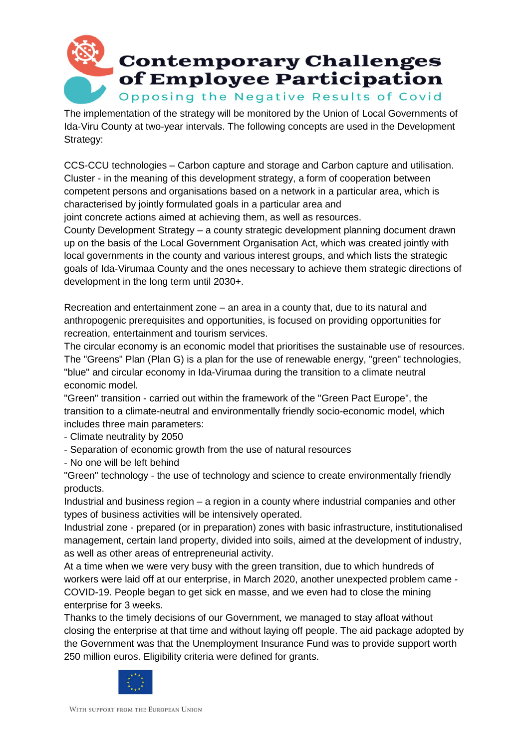

The implementation of the strategy will be monitored by the Union of Local Governments of Ida-Viru County at two-year intervals. The following concepts are used in the Development Strategy:

CCS-CCU technologies – Carbon capture and storage and Carbon capture and utilisation. Cluster - in the meaning of this development strategy, a form of cooperation between competent persons and organisations based on a network in a particular area, which is characterised by jointly formulated goals in a particular area and

joint concrete actions aimed at achieving them, as well as resources.

County Development Strategy – a county strategic development planning document drawn up on the basis of the Local Government Organisation Act, which was created jointly with local governments in the county and various interest groups, and which lists the strategic goals of Ida-Virumaa County and the ones necessary to achieve them strategic directions of development in the long term until 2030+.

Recreation and entertainment zone – an area in a county that, due to its natural and anthropogenic prerequisites and opportunities, is focused on providing opportunities for recreation, entertainment and tourism services.

The circular economy is an economic model that prioritises the sustainable use of resources. The "Greens" Plan (Plan G) is a plan for the use of renewable energy, "green" technologies, "blue" and circular economy in Ida-Virumaa during the transition to a climate neutral economic model.

"Green" transition - carried out within the framework of the "Green Pact Europe", the transition to a climate-neutral and environmentally friendly socio-economic model, which includes three main parameters:

- Climate neutrality by 2050
- Separation of economic growth from the use of natural resources
- No one will be left behind

"Green" technology - the use of technology and science to create environmentally friendly products.

Industrial and business region – a region in a county where industrial companies and other types of business activities will be intensively operated.

Industrial zone - prepared (or in preparation) zones with basic infrastructure, institutionalised management, certain land property, divided into soils, aimed at the development of industry, as well as other areas of entrepreneurial activity.

At a time when we were very busy with the green transition, due to which hundreds of workers were laid off at our enterprise, in March 2020, another unexpected problem came - COVID-19. People began to get sick en masse, and we even had to close the mining enterprise for 3 weeks.

Thanks to the timely decisions of our Government, we managed to stay afloat without closing the enterprise at that time and without laying off people. The aid package adopted by the Government was that the Unemployment Insurance Fund was to provide support worth 250 million euros. Eligibility criteria were defined for grants.

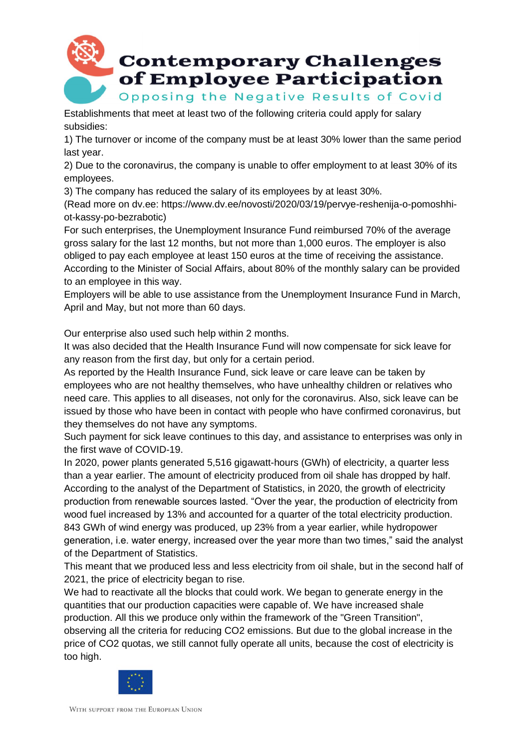

Establishments that meet at least two of the following criteria could apply for salary subsidies:

1) The turnover or income of the company must be at least 30% lower than the same period last year.

2) Due to the coronavirus, the company is unable to offer employment to at least 30% of its employees.

3) The company has reduced the salary of its employees by at least 30%.

(Read more on dv.ee: https://www.dv.ee/novosti/2020/03/19/pervye-reshenija-o-pomoshhiot-kassy-po-bezrabotic)

For such enterprises, the Unemployment Insurance Fund reimbursed 70% of the average gross salary for the last 12 months, but not more than 1,000 euros. The employer is also obliged to pay each employee at least 150 euros at the time of receiving the assistance. According to the Minister of Social Affairs, about 80% of the monthly salary can be provided to an employee in this way.

Employers will be able to use assistance from the Unemployment Insurance Fund in March, April and May, but not more than 60 days.

Our enterprise also used such help within 2 months.

It was also decided that the Health Insurance Fund will now compensate for sick leave for any reason from the first day, but only for a certain period.

As reported by the Health Insurance Fund, sick leave or care leave can be taken by employees who are not healthy themselves, who have unhealthy children or relatives who need care. This applies to all diseases, not only for the coronavirus. Also, sick leave can be issued by those who have been in contact with people who have confirmed coronavirus, but they themselves do not have any symptoms.

Such payment for sick leave continues to this day, and assistance to enterprises was only in the first wave of COVID-19.

In 2020, power plants generated 5,516 gigawatt-hours (GWh) of electricity, a quarter less than a year earlier. The amount of electricity produced from oil shale has dropped by half. According to the analyst of the Department of Statistics, in 2020, the growth of electricity production from renewable sources lasted. "Over the year, the production of electricity from wood fuel increased by 13% and accounted for a quarter of the total electricity production. 843 GWh of wind energy was produced, up 23% from a year earlier, while hydropower generation, i.e. water energy, increased over the year more than two times," said the analyst of the Department of Statistics.

This meant that we produced less and less electricity from oil shale, but in the second half of 2021, the price of electricity began to rise.

We had to reactivate all the blocks that could work. We began to generate energy in the quantities that our production capacities were capable of. We have increased shale production. All this we produce only within the framework of the "Green Transition", observing all the criteria for reducing CO2 emissions. But due to the global increase in the price of CO2 quotas, we still cannot fully operate all units, because the cost of electricity is too high.